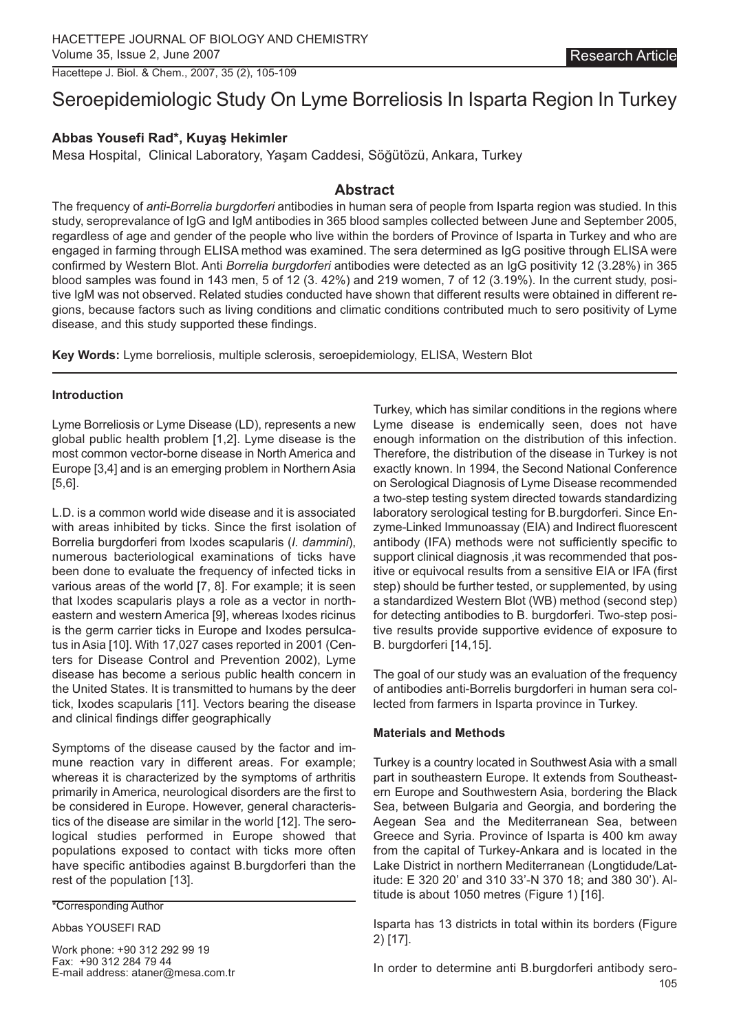Hacettepe J. Biol. & Chem., 2007, 35 (2), 105-109

# Seroepidemiologic Study On Lyme Borreliosis In Isparta Region In Turkey

# **Abbas Yousefi Rad\*, Kuyaş Hekimler**

Mesa Hospital, Clinical Laboratory, Yaşam Caddesi, Söğütözü, Ankara, Turkey

## **Abstract**

The frequency of *anti-Borrelia burgdorferi* antibodies in human sera of people from Isparta region was studied. In this study, seroprevalance of IgG and IgM antibodies in 365 blood samples collected between June and September 2005, regardless of age and gender of the people who live within the borders of Province of Isparta in Turkey and who are engaged in farming through ELISA method was examined. The sera determined as IgG positive through ELISA were confirmed by Western Blot. Anti *Borrelia burgdorferi* antibodies were detected as an IgG positivity 12 (3.28%) in 365 blood samples was found in 143 men, 5 of 12 (3. 42%) and 219 women, 7 of 12 (3.19%). In the current study, positive IgM was not observed. Related studies conducted have shown that different results were obtained in different regions, because factors such as living conditions and climatic conditions contributed much to sero positivity of Lyme disease, and this study supported these findings.

**Key Words:** Lyme borreliosis, multiple sclerosis, seroepidemiology, ELISA, Western Blot

#### **Introduction**

Lyme Borreliosis or Lyme Disease (LD), represents a new global public health problem [1,2]. Lyme disease is the most common vector-borne disease in North America and Europe [3,4] and is an emerging problem in Northern Asia [5,6].

L.D. is a common world wide disease and it is associated with areas inhibited by ticks. Since the first isolation of Borrelia burgdorferi from Ixodes scapularis (*I. dammini*), numerous bacteriological examinations of ticks have been done to evaluate the frequency of infected ticks in various areas of the world [7, 8]. For example; it is seen that Ixodes scapularis plays a role as a vector in northeastern and western America [9], whereas Ixodes ricinus is the germ carrier ticks in Europe and Ixodes persulcatus in Asia [10]. With 17,027 cases reported in 2001 (Centers for Disease Control and Prevention 2002), Lyme disease has become a serious public health concern in the United States. It is transmitted to humans by the deer tick, Ixodes scapularis [11]. Vectors bearing the disease and clinical findings differ geographically

Symptoms of the disease caused by the factor and immune reaction vary in different areas. For example; whereas it is characterized by the symptoms of arthritis primarily in America, neurological disorders are the first to be considered in Europe. However, general characteristics of the disease are similar in the world [12]. The serological studies performed in Europe showed that populations exposed to contact with ticks more often have specific antibodies against B.burgdorferi than the rest of the population [13].

#### \*Corresponding Author

#### Abbas YOUSEFI RAD

Work phone: +90 312 292 99 19 Fax: +90 312 284 79 44 E-mail address: ataner@mesa.com.tr Turkey, which has similar conditions in the regions where Lyme disease is endemically seen, does not have enough information on the distribution of this infection. Therefore, the distribution of the disease in Turkey is not exactly known. In 1994, the Second National Conference on Serological Diagnosis of Lyme Disease recommended a two-step testing system directed towards standardizing laboratory serological testing for B.burgdorferi. Since Enzyme-Linked Immunoassay (EIA) and Indirect fluorescent antibody (IFA) methods were not sufficiently specific to support clinical diagnosis ,it was recommended that positive or equivocal results from a sensitive EIA or IFA (first step) should be further tested, or supplemented, by using a standardized Western Blot (WB) method (second step) for detecting antibodies to B. burgdorferi. Two-step positive results provide supportive evidence of exposure to B. burgdorferi [14,15].

The goal of our study was an evaluation of the frequency of antibodies anti-Borrelis burgdorferi in human sera collected from farmers in Isparta province in Turkey.

#### **Materials and Methods**

Turkey is a country located in Southwest Asia with a small part in southeastern Europe. It extends from Southeastern Europe and Southwestern Asia, bordering the Black Sea, between Bulgaria and Georgia, and bordering the Aegean Sea and the Mediterranean Sea, between Greece and Syria. Province of Isparta is 400 km away from the capital of Turkey-Ankara and is located in the Lake District in northern Mediterranean (Longtidude/Latitude: E 320 20' and 310 33'-N 370 18; and 380 30'). Altitude is about 1050 metres (Figure 1) [16].

Isparta has 13 districts in total within its borders (Figure 2) [17].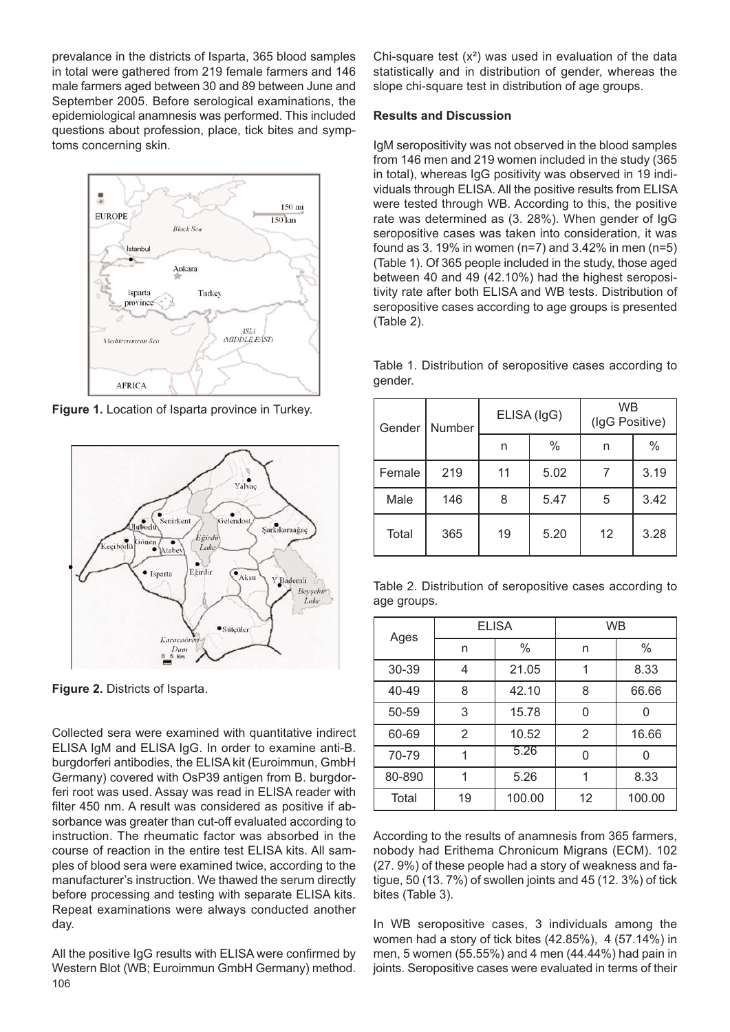prevalance in the districts of Isparta, 365 blood samples in total were gathered from 219 female farmers and 146 male farmers aged between 30 and 89 between June and September 2005. Before serological examinations, the epidemiological anamnesis was performed. This included questions about profession, place, tick bites and symptoms concerning skin.



**Figure 1.** Location of Isparta province in Turkey.



**Figure 2.** Districts of Isparta.

Collected sera were examined with quantitative indirect ELISA IgM and ELISA IgG. In order to examine anti-B. burgdorferi antibodies, the ELISA kit (Euroimmun, GmbH Germany) covered with OsP39 antigen from B. burgdorferi root was used. Assay was read in ELISA reader with filter 450 nm. A result was considered as positive if absorbance was greater than cut-off evaluated according to instruction. The rheumatic factor was absorbed in the course of reaction in the entire test ELISA kits. All samples of blood sera were examined twice, according to the manufacturer's instruction. We thawed the serum directly before processing and testing with separate ELISA kits. Repeat examinations were always conducted another day.

All the positive IgG results with ELISA were confirmed by Western Blot (WB; Euroimmun GmbH Germany) method. 106

Chi-square test  $(x^2)$  was used in evaluation of the data statistically and in distribution of gender, whereas the slope chi-square test in distribution of age groups.

### **Results and Discussion**

IgM seropositivity was not observed in the blood samples from 146 men and 219 women included in the study (365 in total), whereas IgG positivity was observed in 19 individuals through ELISA. All the positive results from ELISA were tested through WB. According to this, the positive rate was determined as (3. 28%). When gender of IgG seropositive cases was taken into consideration, it was found as 3. 19% in women (n=7) and 3.42% in men (n=5) (Table 1). Of 365 people included in the study, those aged between 40 and 49 (42.10%) had the highest seropositivity rate after both ELISA and WB tests. Distribution of seropositive cases according to age groups is presented (Table 2).

|        | Gender   Number | ELISA (IgG) |      | <b>WB</b><br>(IgG Positive) |      |
|--------|-----------------|-------------|------|-----------------------------|------|
|        |                 | n           | $\%$ | n                           | $\%$ |
| Female | 219             | 11          | 5.02 |                             | 3.19 |
| Male   | 146             | 8           | 5.47 | 5                           | 3.42 |

Table 1. Distribution of seropositive cases according to gender.

|             |  | Table 2. Distribution of seropositive cases according to |  |  |
|-------------|--|----------------------------------------------------------|--|--|
| age groups. |  |                                                          |  |  |

Total | 365 | 19 | 5.20 | 12 | 3.28

| Ages   | <b>ELISA</b> |        | <b>WB</b> |        |  |
|--------|--------------|--------|-----------|--------|--|
|        | n            | $\%$   | n         | $\%$   |  |
| 30-39  | 4            | 21.05  | 1         | 8.33   |  |
| 40-49  | 8            | 42.10  | 8         | 66.66  |  |
| 50-59  | 3            | 15.78  | ი         |        |  |
| 60-69  | 2            | 10.52  | 2         | 16.66  |  |
| 70-79  |              | 5.26   | 0         |        |  |
| 80-890 |              | 5.26   |           | 8.33   |  |
| Total  | 19           | 100.00 | 12        | 100.00 |  |

According to the results of anamnesis from 365 farmers, nobody had Erithema Chronicum Migrans (ECM). 102 (27. 9%) of these people had a story of weakness and fatigue, 50 (13. 7%) of swollen joints and 45 (12. 3%) of tick bites (Table 3).

In WB seropositive cases, 3 individuals among the women had a story of tick bites (42.85%), 4 (57.14%) in men, 5 women (55.55%) and 4 men (44.44%) had pain in joints. Seropositive cases were evaluated in terms of their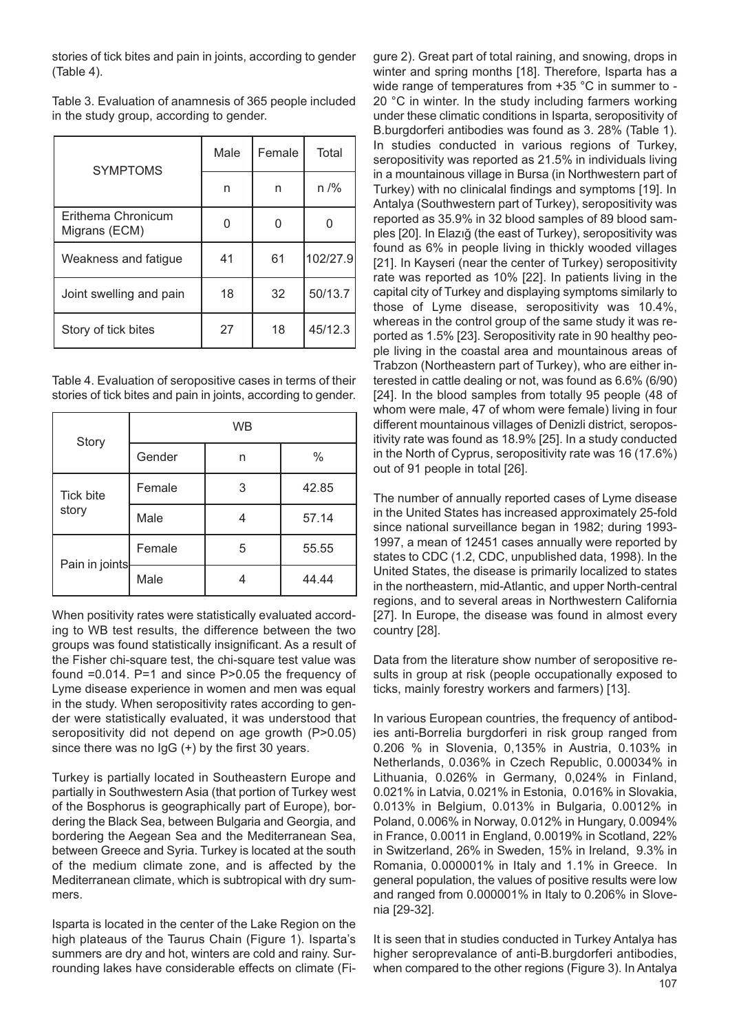stories of tick bites and pain in joints, according to gender (Table 4).

Table 3. Evaluation of anamnesis of 365 people included in the study group, according to gender.

| <b>SYMPTOMS</b>                     | Male | Female | Total    |
|-------------------------------------|------|--------|----------|
|                                     | n    | n      | $n$ /%   |
| Erithema Chronicum<br>Migrans (ECM) |      |        |          |
| Weakness and fatigue                | 41   | 61     | 102/27.9 |
| Joint swelling and pain             | 18   | 32     | 50/13.7  |
| Story of tick bites                 | 27   | 18     | 45/12.3  |

Table 4. Evaluation of seropositive cases in terms of their stories of tick bites and pain in joints, according to gender.

| Story            | <b>WB</b> |   |       |  |
|------------------|-----------|---|-------|--|
|                  | Gender    | n | $\%$  |  |
| <b>Tick bite</b> | Female    | 3 | 42.85 |  |
| story            | Male      |   | 57.14 |  |
| Pain in joints   | Female    | 5 | 55.55 |  |
|                  | Male      |   | 44.44 |  |

When positivity rates were statistically evaluated according to WB test results, the difference between the two groups was found statistically insignificant. As a result of the Fisher chi-square test, the chi-square test value was found =0.014. P=1 and since P>0.05 the frequency of Lyme disease experience in women and men was equal in the study. When seropositivity rates according to gender were statistically evaluated, it was understood that seropositivity did not depend on age growth (P>0.05) since there was no IgG (+) by the first 30 years.

Turkey is partially located in Southeastern Europe and partially in Southwestern Asia (that portion of Turkey west of the Bosphorus is geographically part of Europe), bordering the Black Sea, between Bulgaria and Georgia, and bordering the Aegean Sea and the Mediterranean Sea, between Greece and Syria. Turkey is located at the south of the medium climate zone, and is affected by the Mediterranean climate, which is subtropical with dry summers.

Isparta is located in the center of the Lake Region on the high plateaus of the Taurus Chain (Figure 1). Isparta's summers are dry and hot, winters are cold and rainy. Surrounding lakes have considerable effects on climate (Figure 2). Great part of total raining, and snowing, drops in winter and spring months [18]. Therefore, Isparta has a wide range of temperatures from +35 °C in summer to - 20 °C in winter. In the study including farmers working under these climatic conditions in Isparta, seropositivity of B.burgdorferi antibodies was found as 3. 28% (Table 1). In studies conducted in various regions of Turkey, seropositivity was reported as 21.5% in individuals living in a mountainous village in Bursa (in Northwestern part of Turkey) with no clinicalal findings and symptoms [19]. In Antalya (Southwestern part of Turkey), seropositivity was reported as 35.9% in 32 blood samples of 89 blood samples [20]. In Elazığ (the east of Turkey), seropositivity was found as 6% in people living in thickly wooded villages [21]. In Kayseri (near the center of Turkey) seropositivity rate was reported as 10% [22]. In patients living in the capital city of Turkey and displaying symptoms similarly to those of Lyme disease, seropositivity was 10.4%, whereas in the control group of the same study it was reported as 1.5% [23]. Seropositivity rate in 90 healthy people living in the coastal area and mountainous areas of Trabzon (Northeastern part of Turkey), who are either interested in cattle dealing or not, was found as 6.6% (6/90) [24]. In the blood samples from totally 95 people (48 of whom were male, 47 of whom were female) living in four different mountainous villages of Denizli district, seropositivity rate was found as 18.9% [25]. In a study conducted in the North of Cyprus, seropositivity rate was 16 (17.6%) out of 91 people in total [26].

The number of annually reported cases of Lyme disease in the United States has increased approximately 25-fold since national surveillance began in 1982; during 1993- 1997, a mean of 12451 cases annually were reported by states to CDC (1.2, CDC, unpublished data, 1998). In the United States, the disease is primarily localized to states in the northeastern, mid-Atlantic, and upper North-central regions, and to several areas in Northwestern California [27]. In Europe, the disease was found in almost every country [28].

Data from the literature show number of seropositive results in group at risk (people occupationally exposed to ticks, mainly forestry workers and farmers) [13].

In various European countries, the frequency of antibodies anti-Borrelia burgdorferi in risk group ranged from 0.206 % in Slovenia, 0,135% in Austria, 0.103% in Netherlands, 0.036% in Czech Republic, 0.00034% in Lithuania, 0.026% in Germany, 0,024% in Finland, 0.021% in Latvia, 0.021% in Estonia, 0.016% in Slovakia, 0.013% in Belgium, 0.013% in Bulgaria, 0.0012% in Poland, 0.006% in Norway, 0.012% in Hungary, 0.0094% in France, 0.0011 in England, 0.0019% in Scotland, 22% in Switzerland, 26% in Sweden, 15% in Ireland, 9.3% in Romania, 0.000001% in Italy and 1.1% in Greece. In general population, the values of positive results were low and ranged from 0.000001% in Italy to 0.206% in Slovenia [29-32].

It is seen that in studies conducted in Turkey Antalya has higher seroprevalance of anti-B.burgdorferi antibodies, when compared to the other regions (Figure 3). In Antalya 107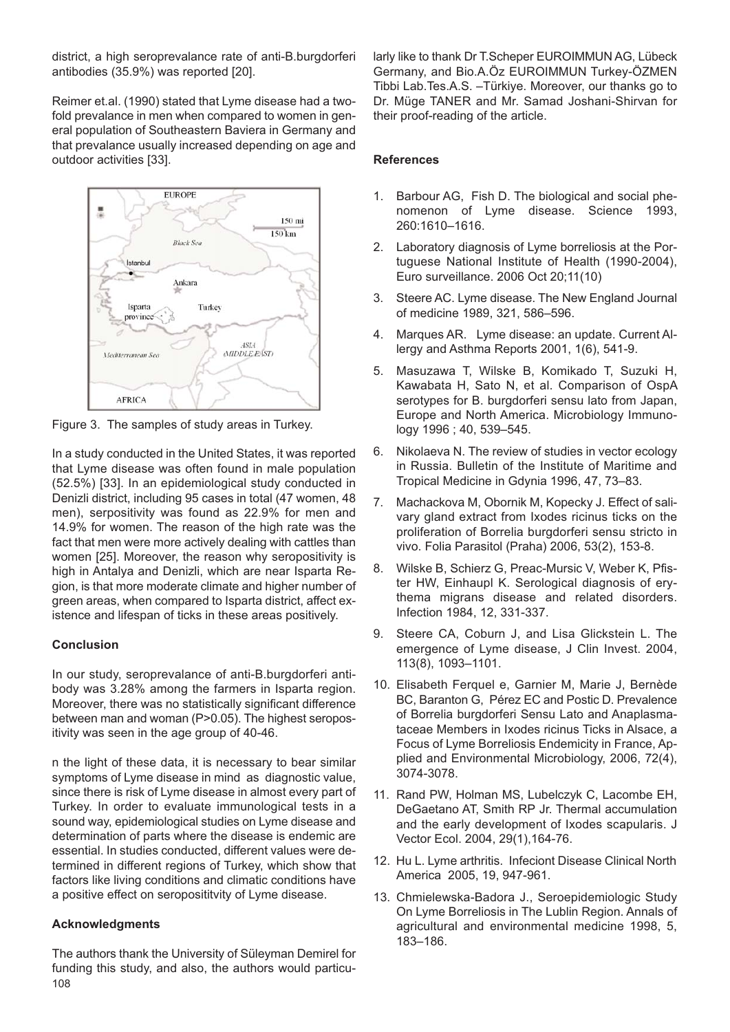district, a high seroprevalance rate of anti-B.burgdorferi antibodies (35.9%) was reported [20].

Reimer et.al. (1990) stated that Lyme disease had a twofold prevalance in men when compared to women in general population of Southeastern Baviera in Germany and that prevalance usually increased depending on age and outdoor activities [33].



Figure 3. The samples of study areas in Turkey.

In a study conducted in the United States, it was reported that Lyme disease was often found in male population (52.5%) [33]. In an epidemiological study conducted in Denizli district, including 95 cases in total (47 women, 48 men), serpositivity was found as 22.9% for men and 14.9% for women. The reason of the high rate was the fact that men were more actively dealing with cattles than women [25]. Moreover, the reason why seropositivity is high in Antalya and Denizli, which are near Isparta Region, is that more moderate climate and higher number of green areas, when compared to Isparta district, affect existence and lifespan of ticks in these areas positively.

## **Conclusion**

In our study, seroprevalance of anti-B.burgdorferi antibody was 3.28% among the farmers in Isparta region. Moreover, there was no statistically significant difference between man and woman (P>0.05). The highest seropositivity was seen in the age group of 40-46.

n the light of these data, it is necessary to bear similar symptoms of Lyme disease in mind as diagnostic value, since there is risk of Lyme disease in almost every part of Turkey. In order to evaluate immunological tests in a sound way, epidemiological studies on Lyme disease and determination of parts where the disease is endemic are essential. In studies conducted, different values were determined in different regions of Turkey, which show that factors like living conditions and climatic conditions have a positive effect on seroposititvity of Lyme disease.

## **Acknowledgments**

The authors thank the University of Süleyman Demirel for funding this study, and also, the authors would particu-108

larly like to thank Dr T.Scheper EUROIMMUN AG, Lübeck Germany, and Bio.A.Öz EUROIMMUN Turkey-ÖZMEN Tibbi Lab.Tes.A.S. –Türkiye. Moreover, our thanks go to Dr. Müge TANER and Mr. Samad Joshani-Shirvan for their proof-reading of the article.

## **References**

- 1. Barbour AG, Fish D. The biological and social phenomenon of Lyme disease. Science 1993, 260:1610–1616.
- 2. Laboratory diagnosis of Lyme borreliosis at the Portuguese National Institute of Health (1990-2004), Euro surveillance. 2006 Oct 20;11(10)
- 3. Steere AC. Lyme disease. The New England Journal of medicine 1989, 321, 586–596.
- 4. Marques AR. Lyme disease: an update. Current Allergy and Asthma Reports 2001, 1(6), 541-9.
- 5. Masuzawa T, Wilske B, Komikado T, Suzuki H, Kawabata H, Sato N, et al. Comparison of OspA serotypes for B. burgdorferi sensu lato from Japan, Europe and North America. Microbiology Immunology 1996 ; 40, 539–545.
- 6. Nikolaeva N. The review of studies in vector ecology in Russia. Bulletin of the Institute of Maritime and Tropical Medicine in Gdynia 1996, 47, 73–83.
- 7. Machackova M, Obornik M, Kopecky J. Effect of salivary gland extract from Ixodes ricinus ticks on the proliferation of Borrelia burgdorferi sensu stricto in vivo. Folia Parasitol (Praha) 2006, 53(2), 153-8.
- 8. Wilske B, Schierz G, Preac-Mursic V, Weber K, Pfister HW, Einhaupl K. Serological diagnosis of erythema migrans disease and related disorders. Infection 1984, 12, 331-337.
- 9. Steere CA, Coburn J, and Lisa Glickstein L. The emergence of Lyme disease, J Clin Invest. 2004, 113(8), 1093–1101.
- 10. Elisabeth Ferquel e, Garnier M, Marie J, Bernède BC, Baranton G, Pérez EC and Postic D. Prevalence of Borrelia burgdorferi Sensu Lato and Anaplasmataceae Members in Ixodes ricinus Ticks in Alsace, a Focus of Lyme Borreliosis Endemicity in France, Applied and Environmental Microbiology, 2006, 72(4), 3074-3078.
- 11. Rand PW, Holman MS, Lubelczyk C, Lacombe EH, DeGaetano AT, Smith RP Jr. Thermal accumulation and the early development of Ixodes scapularis. J Vector Ecol. 2004, 29(1),164-76.
- 12. Hu L. Lyme arthritis. Infeciont Disease Clinical North America 2005, 19, 947-961.
- 13. Chmielewska-Badora J., Seroepidemiologic Study On Lyme Borreliosis in The Lublin Region. Annals of agricultural and environmental medicine 1998, 5, 183–186.